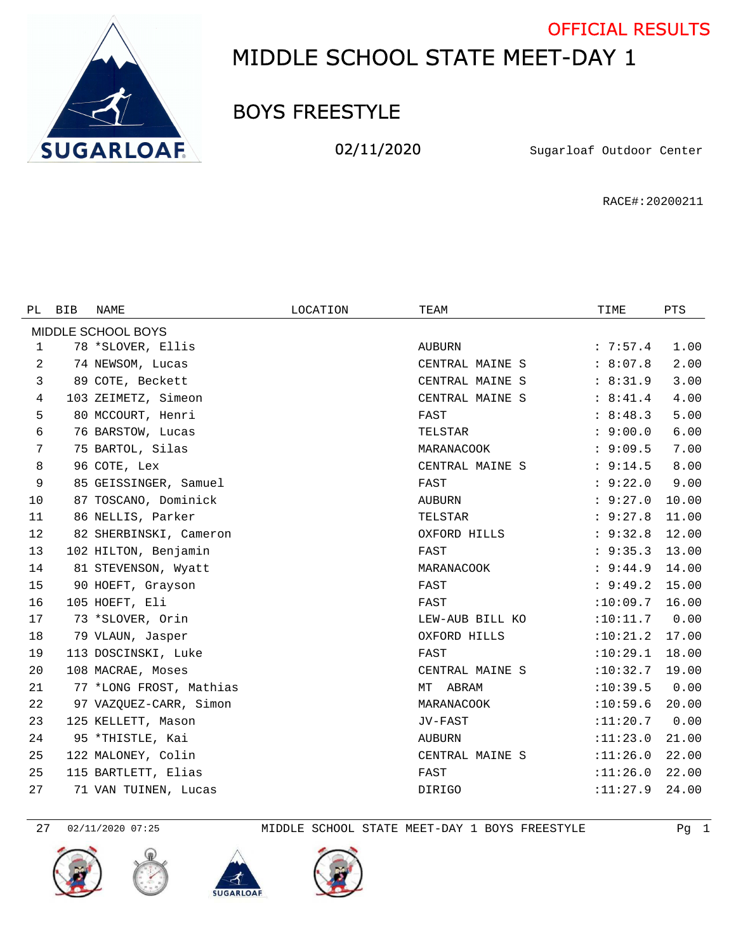

## MIDDLE SCHOOL STATE MEET-DAY 1 OFFICIAL RESULTS

## BOYS FREESTYLE

02/11/2020 Sugarloaf Outdoor Center

RACE#:20200211

| PL.                | <b>BIB</b> | NAME                    | LOCATION | TEAM            | TIME     | <b>PTS</b> |  |  |  |  |
|--------------------|------------|-------------------------|----------|-----------------|----------|------------|--|--|--|--|
| MIDDLE SCHOOL BOYS |            |                         |          |                 |          |            |  |  |  |  |
| 1                  |            | 78 *SLOVER, Ellis       |          | AUBURN          | : 7:57.4 | 1.00       |  |  |  |  |
| 2                  |            | 74 NEWSOM, Lucas        |          | CENTRAL MAINE S | : 8:07.8 | 2.00       |  |  |  |  |
| 3                  |            | 89 COTE, Beckett        |          | CENTRAL MAINE S | : 8:31.9 | 3.00       |  |  |  |  |
| 4                  |            | 103 ZEIMETZ, Simeon     |          | CENTRAL MAINE S | : 8:41.4 | 4.00       |  |  |  |  |
| 5                  |            | 80 MCCOURT, Henri       |          | FAST            | : 8:48.3 | 5.00       |  |  |  |  |
| 6                  |            | 76 BARSTOW, Lucas       |          | TELSTAR         | : 9:00.0 | 6.00       |  |  |  |  |
| 7                  |            | 75 BARTOL, Silas        |          | MARANACOOK      | : 9:09.5 | 7.00       |  |  |  |  |
| 8                  |            | 96 COTE, Lex            |          | CENTRAL MAINE S | : 9:14.5 | 8.00       |  |  |  |  |
| 9                  |            | 85 GEISSINGER, Samuel   |          | FAST            | : 9:22.0 | 9.00       |  |  |  |  |
| 10                 |            | 87 TOSCANO, Dominick    |          | AUBURN          | : 9:27.0 | 10.00      |  |  |  |  |
| 11                 |            | 86 NELLIS, Parker       |          | TELSTAR         | : 9:27.8 | 11.00      |  |  |  |  |
| 12                 |            | 82 SHERBINSKI, Cameron  |          | OXFORD HILLS    | : 9:32.8 | 12.00      |  |  |  |  |
| 13                 |            | 102 HILTON, Benjamin    |          | FAST            | : 9:35.3 | 13.00      |  |  |  |  |
| 14                 |            | 81 STEVENSON, Wyatt     |          | MARANACOOK      | : 9:44.9 | 14.00      |  |  |  |  |
| 15                 |            | 90 HOEFT, Grayson       |          | FAST            | : 9:49.2 | 15.00      |  |  |  |  |
| 16                 |            | 105 HOEFT, Eli          |          | FAST            | :10:09.7 | 16.00      |  |  |  |  |
| 17                 |            | 73 *SLOVER, Orin        |          | LEW-AUB BILL KO | :10:11.7 | 0.00       |  |  |  |  |
| 18                 |            | 79 VLAUN, Jasper        |          | OXFORD HILLS    | :10:21.2 | 17.00      |  |  |  |  |
| 19                 |            | 113 DOSCINSKI, Luke     |          | FAST            | :10:29.1 | 18.00      |  |  |  |  |
| 20                 |            | 108 MACRAE, Moses       |          | CENTRAL MAINE S | :10:32.7 | 19.00      |  |  |  |  |
| 21                 |            | 77 *LONG FROST, Mathias |          | MT<br>ABRAM     | :10:39.5 | 0.00       |  |  |  |  |
| 22                 |            | 97 VAZQUEZ-CARR, Simon  |          | MARANACOOK      | :10:59.6 | 20.00      |  |  |  |  |
| 23                 |            | 125 KELLETT, Mason      |          | JV-FAST         | :11:20.7 | 0.00       |  |  |  |  |
| 24                 |            | 95 *THISTLE, Kai        |          | AUBURN          | :11:23.0 | 21.00      |  |  |  |  |
| 25                 |            | 122 MALONEY, Colin      |          | CENTRAL MAINE S | :11:26.0 | 22.00      |  |  |  |  |
| 25                 |            | 115 BARTLETT, Elias     |          | FAST            | :11:26.0 | 22.00      |  |  |  |  |
| 27                 |            | 71 VAN TUINEN, Lucas    |          | <b>DIRIGO</b>   | :11:27.9 | 24.00      |  |  |  |  |

02/11/2020 07:25 MIDDLE SCHOOL STATE MEET-DAY 1 BOYS FREESTYLE Pg 1